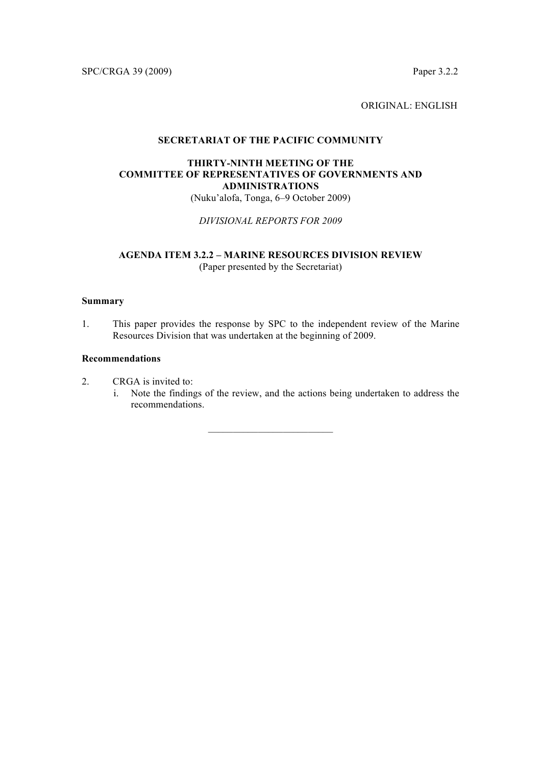SPC/CRGA 39 (2009) Paper 3.2.2

ORIGINAL: ENGLISH

### **SECRETARIAT OF THE PACIFIC COMMUNITY**

# **THIRTY-NINTH MEETING OF THE COMMITTEE OF REPRESENTATIVES OF GOVERNMENTS AND ADMINISTRATIONS**

(Nuku'alofa, Tonga, 6–9 October 2009)

*DIVISIONAL REPORTS FOR 2009*

# **AGENDA ITEM 3.2.2 – MARINE RESOURCES DIVISION REVIEW** (Paper presented by the Secretariat)

### **Summary**

1. This paper provides the response by SPC to the independent review of the Marine Resources Division that was undertaken at the beginning of 2009.

## **Recommendations**

- 2. CRGA is invited to:
	- i. Note the findings of the review, and the actions being undertaken to address the recommendations.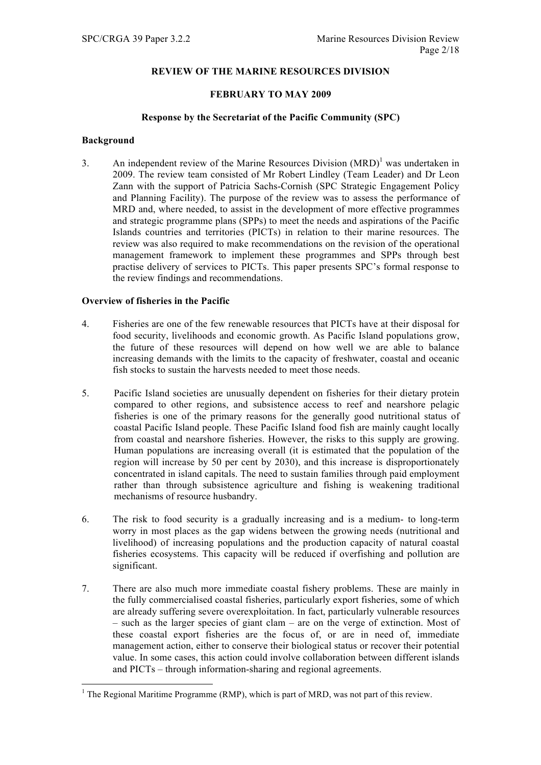## **REVIEW OF THE MARINE RESOURCES DIVISION**

## **FEBRUARY TO MAY 2009**

### **Response by the Secretariat of the Pacific Community (SPC)**

### **Background**

3. An independent review of the Marine Resources Division  $(MRD)^1$  was undertaken in 2009. The review team consisted of Mr Robert Lindley (Team Leader) and Dr Leon Zann with the support of Patricia Sachs-Cornish (SPC Strategic Engagement Policy and Planning Facility). The purpose of the review was to assess the performance of MRD and, where needed, to assist in the development of more effective programmes and strategic programme plans (SPPs) to meet the needs and aspirations of the Pacific Islands countries and territories (PICTs) in relation to their marine resources. The review was also required to make recommendations on the revision of the operational management framework to implement these programmes and SPPs through best practise delivery of services to PICTs. This paper presents SPC's formal response to the review findings and recommendations.

## **Overview of fisheries in the Pacific**

- 4. Fisheries are one of the few renewable resources that PICTs have at their disposal for food security, livelihoods and economic growth. As Pacific Island populations grow, the future of these resources will depend on how well we are able to balance increasing demands with the limits to the capacity of freshwater, coastal and oceanic fish stocks to sustain the harvests needed to meet those needs.
- 5. Pacific Island societies are unusually dependent on fisheries for their dietary protein compared to other regions, and subsistence access to reef and nearshore pelagic fisheries is one of the primary reasons for the generally good nutritional status of coastal Pacific Island people. These Pacific Island food fish are mainly caught locally from coastal and nearshore fisheries. However, the risks to this supply are growing. Human populations are increasing overall (it is estimated that the population of the region will increase by 50 per cent by 2030), and this increase is disproportionately concentrated in island capitals. The need to sustain families through paid employment rather than through subsistence agriculture and fishing is weakening traditional mechanisms of resource husbandry.
- 6. The risk to food security is a gradually increasing and is a medium- to long-term worry in most places as the gap widens between the growing needs (nutritional and livelihood) of increasing populations and the production capacity of natural coastal fisheries ecosystems. This capacity will be reduced if overfishing and pollution are significant.
- 7. There are also much more immediate coastal fishery problems. These are mainly in the fully commercialised coastal fisheries, particularly export fisheries, some of which are already suffering severe overexploitation. In fact, particularly vulnerable resources – such as the larger species of giant clam – are on the verge of extinction. Most of these coastal export fisheries are the focus of, or are in need of, immediate management action, either to conserve their biological status or recover their potential value. In some cases, this action could involve collaboration between different islands and PICTs – through information-sharing and regional agreements.

<sup>&</sup>lt;sup>1</sup> The Regional Maritime Programme (RMP), which is part of MRD, was not part of this review.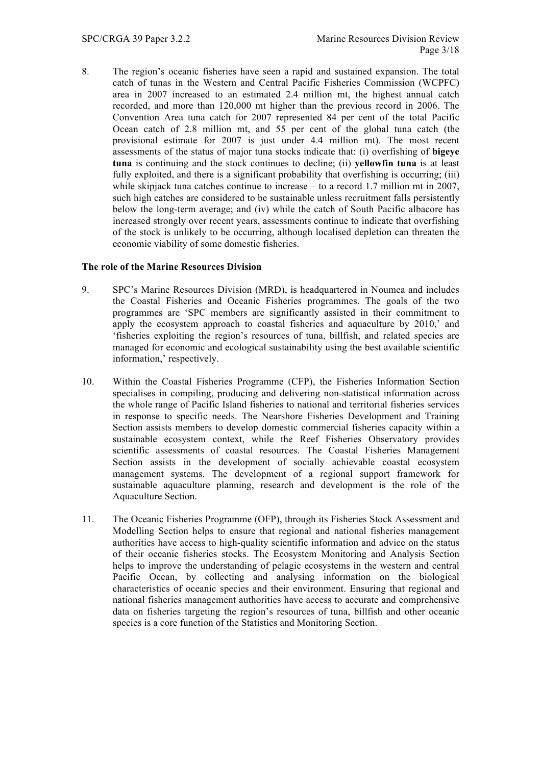8. The region's oceanic fisheries have seen a rapid and sustained expansion. The total catch of tunas in the Western and Central Pacific Fisheries Commission (WCPFC) area in 2007 increased to an estimated 2.4 million mt, the highest annual catch recorded, and more than 120,000 mt higher than the previous record in 2006. The Convention Area tuna catch for 2007 represented 84 per cent of the total Pacific Ocean catch of 2.8 million mt, and 55 per cent of the global tuna catch (the provisional estimate for 2007 is just under 4.4 million mt). The most recent assessments of the status of major tuna stocks indicate that: (i) overfishing of **bigeye tuna** is continuing and the stock continues to decline; (ii) **yellowfin tuna** is at least fully exploited, and there is a significant probability that overfishing is occurring; (iii) while skipjack tuna catches continue to increase – to a record 1.7 million mt in 2007, such high catches are considered to be sustainable unless recruitment falls persistently below the long-term average; and (iv) while the catch of South Pacific albacore has increased strongly over recent years, assessments continue to indicate that overfishing of the stock is unlikely to be occurring, although localised depletion can threaten the economic viability of some domestic fisheries.

## **The role of the Marine Resources Division**

- 9. SPC's Marine Resources Division (MRD), is headquartered in Noumea and includes the Coastal Fisheries and Oceanic Fisheries programmes. The goals of the two programmes are 'SPC members are significantly assisted in their commitment to apply the ecosystem approach to coastal fisheries and aquaculture by 2010,' and 'fisheries exploiting the region's resources of tuna, billfish, and related species are managed for economic and ecological sustainability using the best available scientific information,' respectively.
- 10. Within the Coastal Fisheries Programme (CFP), the Fisheries Information Section specialises in compiling, producing and delivering non-statistical information across the whole range of Pacific Island fisheries to national and territorial fisheries services in response to specific needs. The Nearshore Fisheries Development and Training Section assists members to develop domestic commercial fisheries capacity within a sustainable ecosystem context, while the Reef Fisheries Observatory provides scientific assessments of coastal resources. The Coastal Fisheries Management Section assists in the development of socially achievable coastal ecosystem management systems. The development of a regional support framework for sustainable aquaculture planning, research and development is the role of the Aquaculture Section.
- 11. The Oceanic Fisheries Programme (OFP), through its Fisheries Stock Assessment and Modelling Section helps to ensure that regional and national fisheries management authorities have access to high-quality scientific information and advice on the status of their oceanic fisheries stocks. The Ecosystem Monitoring and Analysis Section helps to improve the understanding of pelagic ecosystems in the western and central Pacific Ocean, by collecting and analysing information on the biological characteristics of oceanic species and their environment. Ensuring that regional and national fisheries management authorities have access to accurate and comprehensive data on fisheries targeting the region's resources of tuna, billfish and other oceanic species is a core function of the Statistics and Monitoring Section.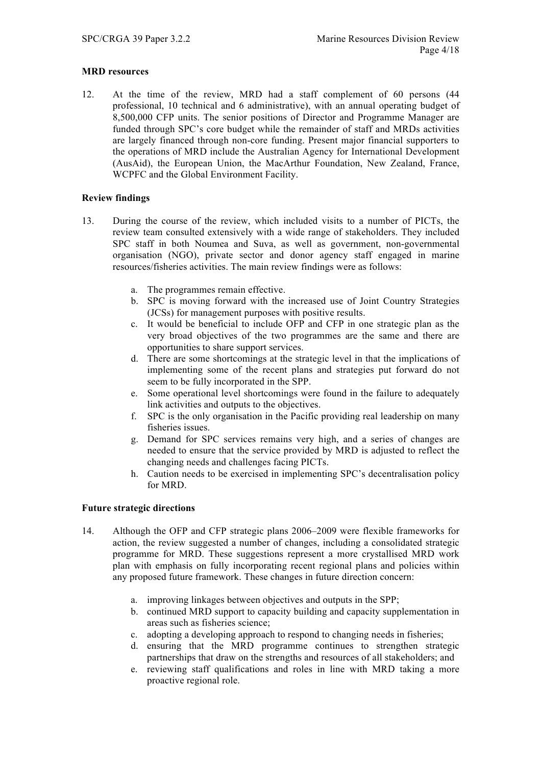# **MRD resources**

12. At the time of the review, MRD had a staff complement of 60 persons (44 professional, 10 technical and 6 administrative), with an annual operating budget of 8,500,000 CFP units. The senior positions of Director and Programme Manager are funded through SPC's core budget while the remainder of staff and MRDs activities are largely financed through non-core funding. Present major financial supporters to the operations of MRD include the Australian Agency for International Development (AusAid), the European Union, the MacArthur Foundation, New Zealand, France, WCPFC and the Global Environment Facility.

# **Review findings**

- 13. During the course of the review, which included visits to a number of PICTs, the review team consulted extensively with a wide range of stakeholders. They included SPC staff in both Noumea and Suva, as well as government, non-governmental organisation (NGO), private sector and donor agency staff engaged in marine resources/fisheries activities. The main review findings were as follows:
	- a. The programmes remain effective.
	- b. SPC is moving forward with the increased use of Joint Country Strategies (JCSs) for management purposes with positive results.
	- c. It would be beneficial to include OFP and CFP in one strategic plan as the very broad objectives of the two programmes are the same and there are opportunities to share support services.
	- d. There are some shortcomings at the strategic level in that the implications of implementing some of the recent plans and strategies put forward do not seem to be fully incorporated in the SPP.
	- e. Some operational level shortcomings were found in the failure to adequately link activities and outputs to the objectives.
	- f. SPC is the only organisation in the Pacific providing real leadership on many fisheries issues.
	- g. Demand for SPC services remains very high, and a series of changes are needed to ensure that the service provided by MRD is adjusted to reflect the changing needs and challenges facing PICTs.
	- h. Caution needs to be exercised in implementing SPC's decentralisation policy for MRD.

# **Future strategic directions**

- 14. Although the OFP and CFP strategic plans 2006–2009 were flexible frameworks for action, the review suggested a number of changes, including a consolidated strategic programme for MRD. These suggestions represent a more crystallised MRD work plan with emphasis on fully incorporating recent regional plans and policies within any proposed future framework. These changes in future direction concern:
	- a. improving linkages between objectives and outputs in the SPP;
	- b. continued MRD support to capacity building and capacity supplementation in areas such as fisheries science;
	- c. adopting a developing approach to respond to changing needs in fisheries;
	- d. ensuring that the MRD programme continues to strengthen strategic partnerships that draw on the strengths and resources of all stakeholders; and
	- e. reviewing staff qualifications and roles in line with MRD taking a more proactive regional role.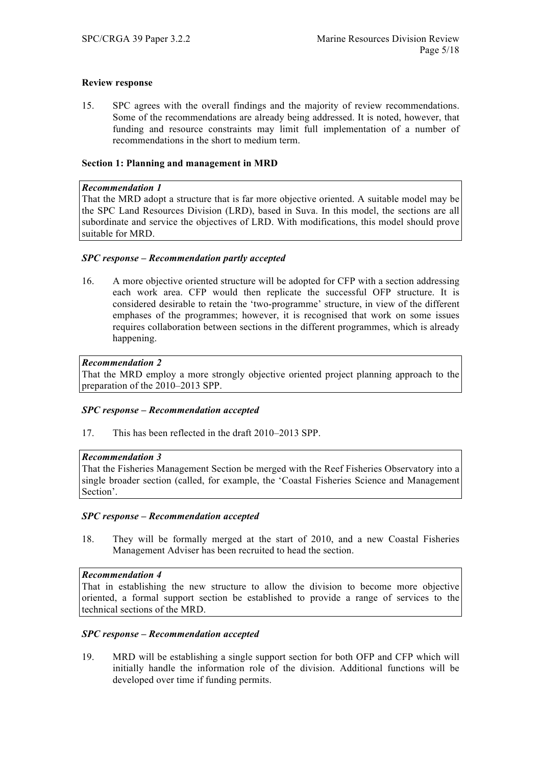## **Review response**

15. SPC agrees with the overall findings and the majority of review recommendations. Some of the recommendations are already being addressed. It is noted, however, that funding and resource constraints may limit full implementation of a number of recommendations in the short to medium term.

## **Section 1: Planning and management in MRD**

#### *Recommendation 1*

That the MRD adopt a structure that is far more objective oriented. A suitable model may be the SPC Land Resources Division (LRD), based in Suva. In this model, the sections are all subordinate and service the objectives of LRD. With modifications, this model should prove suitable for MRD.

### *SPC response – Recommendation partly accepted*

16. A more objective oriented structure will be adopted for CFP with a section addressing each work area. CFP would then replicate the successful OFP structure. It is considered desirable to retain the 'two-programme' structure, in view of the different emphases of the programmes; however, it is recognised that work on some issues requires collaboration between sections in the different programmes, which is already happening.

## *Recommendation 2*

That the MRD employ a more strongly objective oriented project planning approach to the preparation of the 2010–2013 SPP.

## *SPC response – Recommendation accepted*

17. This has been reflected in the draft 2010–2013 SPP.

#### *Recommendation 3*

That the Fisheries Management Section be merged with the Reef Fisheries Observatory into a single broader section (called, for example, the 'Coastal Fisheries Science and Management Section'.

### *SPC response – Recommendation accepted*

18. They will be formally merged at the start of 2010, and a new Coastal Fisheries Management Adviser has been recruited to head the section.

### *Recommendation 4*

That in establishing the new structure to allow the division to become more objective oriented, a formal support section be established to provide a range of services to the technical sections of the MRD.

### *SPC response – Recommendation accepted*

19. MRD will be establishing a single support section for both OFP and CFP which will initially handle the information role of the division. Additional functions will be developed over time if funding permits.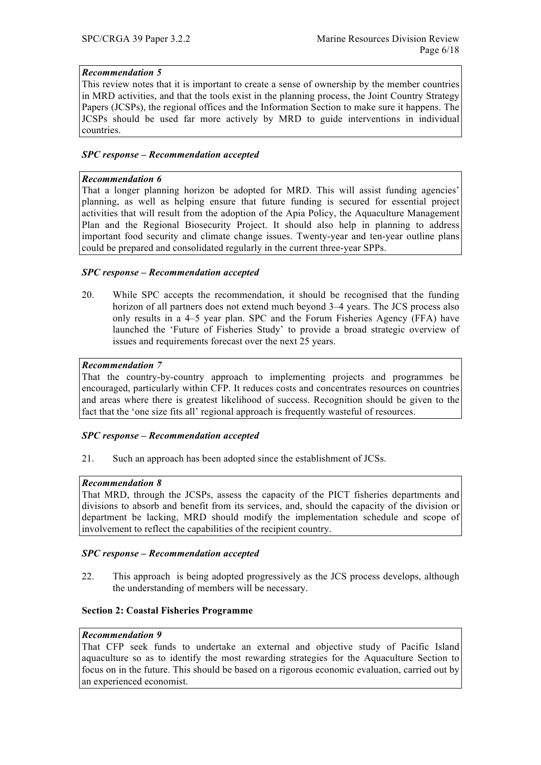# *Recommendation 5*

This review notes that it is important to create a sense of ownership by the member countries in MRD activities, and that the tools exist in the planning process, the Joint Country Strategy Papers (JCSPs), the regional offices and the Information Section to make sure it happens. The JCSPs should be used far more actively by MRD to guide interventions in individual countries.

# *SPC response – Recommendation accepted*

## *Recommendation 6*

That a longer planning horizon be adopted for MRD. This will assist funding agencies' planning, as well as helping ensure that future funding is secured for essential project activities that will result from the adoption of the Apia Policy, the Aquaculture Management Plan and the Regional Biosecurity Project. It should also help in planning to address important food security and climate change issues. Twenty-year and ten-year outline plans could be prepared and consolidated regularly in the current three-year SPPs.

# *SPC response – Recommendation accepted*

20. While SPC accepts the recommendation, it should be recognised that the funding horizon of all partners does not extend much beyond 3–4 years. The JCS process also only results in a 4–5 year plan. SPC and the Forum Fisheries Agency (FFA) have launched the 'Future of Fisheries Study' to provide a broad strategic overview of issues and requirements forecast over the next 25 years.

# *Recommendation 7*

That the country-by-country approach to implementing projects and programmes be encouraged, particularly within CFP. It reduces costs and concentrates resources on countries and areas where there is greatest likelihood of success. Recognition should be given to the fact that the 'one size fits all' regional approach is frequently wasteful of resources.

## *SPC response – Recommendation accepted*

21. Such an approach has been adopted since the establishment of JCSs.

## *Recommendation 8*

That MRD, through the JCSPs, assess the capacity of the PICT fisheries departments and divisions to absorb and benefit from its services, and, should the capacity of the division or department be lacking, MRD should modify the implementation schedule and scope of involvement to reflect the capabilities of the recipient country.

## *SPC response – Recommendation accepted*

22. This approach is being adopted progressively as the JCS process develops, although the understanding of members will be necessary.

## **Section 2: Coastal Fisheries Programme**

## *Recommendation 9*

That CFP seek funds to undertake an external and objective study of Pacific Island aquaculture so as to identify the most rewarding strategies for the Aquaculture Section to focus on in the future. This should be based on a rigorous economic evaluation, carried out by an experienced economist.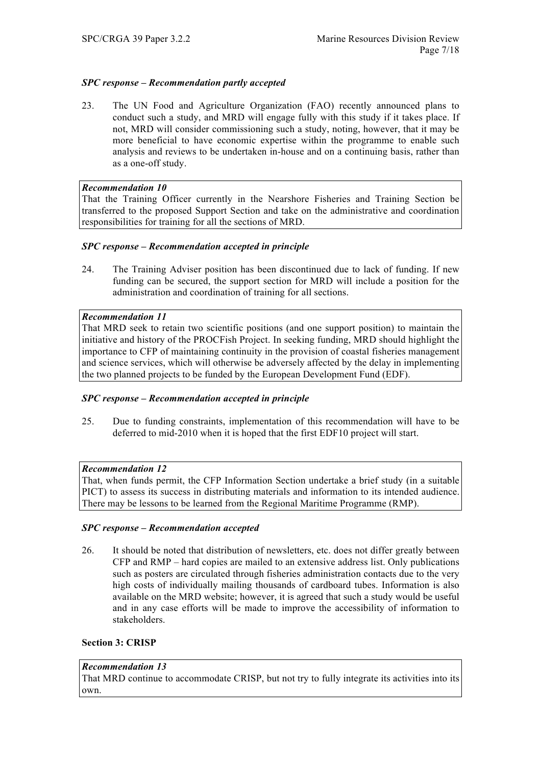# *SPC response – Recommendation partly accepted*

23. The UN Food and Agriculture Organization (FAO) recently announced plans to conduct such a study, and MRD will engage fully with this study if it takes place. If not, MRD will consider commissioning such a study, noting, however, that it may be more beneficial to have economic expertise within the programme to enable such analysis and reviews to be undertaken in-house and on a continuing basis, rather than as a one-off study.

# *Recommendation 10*

That the Training Officer currently in the Nearshore Fisheries and Training Section be transferred to the proposed Support Section and take on the administrative and coordination responsibilities for training for all the sections of MRD.

# *SPC response – Recommendation accepted in principle*

24. The Training Adviser position has been discontinued due to lack of funding. If new funding can be secured, the support section for MRD will include a position for the administration and coordination of training for all sections.

# *Recommendation 11*

That MRD seek to retain two scientific positions (and one support position) to maintain the initiative and history of the PROCFish Project. In seeking funding, MRD should highlight the importance to CFP of maintaining continuity in the provision of coastal fisheries management and science services, which will otherwise be adversely affected by the delay in implementing the two planned projects to be funded by the European Development Fund (EDF).

## *SPC response – Recommendation accepted in principle*

25. Due to funding constraints, implementation of this recommendation will have to be deferred to mid-2010 when it is hoped that the first EDF10 project will start.

## *Recommendation 12*

That, when funds permit, the CFP Information Section undertake a brief study (in a suitable PICT) to assess its success in distributing materials and information to its intended audience. There may be lessons to be learned from the Regional Maritime Programme (RMP).

## *SPC response – Recommendation accepted*

26. It should be noted that distribution of newsletters, etc. does not differ greatly between CFP and RMP – hard copies are mailed to an extensive address list. Only publications such as posters are circulated through fisheries administration contacts due to the very high costs of individually mailing thousands of cardboard tubes. Information is also available on the MRD website; however, it is agreed that such a study would be useful and in any case efforts will be made to improve the accessibility of information to stakeholders.

# **Section 3: CRISP**

## *Recommendation 13*

That MRD continue to accommodate CRISP, but not try to fully integrate its activities into its own.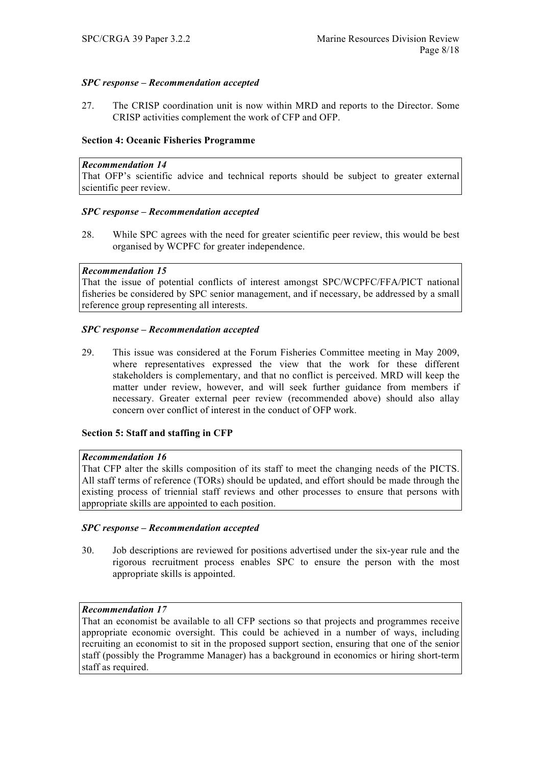# *SPC response – Recommendation accepted*

27. The CRISP coordination unit is now within MRD and reports to the Director. Some CRISP activities complement the work of CFP and OFP.

## **Section 4: Oceanic Fisheries Programme**

### *Recommendation 14*

That OFP's scientific advice and technical reports should be subject to greater external scientific peer review.

## *SPC response – Recommendation accepted*

28. While SPC agrees with the need for greater scientific peer review, this would be best organised by WCPFC for greater independence.

### *Recommendation 15*

That the issue of potential conflicts of interest amongst SPC/WCPFC/FFA/PICT national fisheries be considered by SPC senior management, and if necessary, be addressed by a small reference group representing all interests.

## *SPC response – Recommendation accepted*

29. This issue was considered at the Forum Fisheries Committee meeting in May 2009, where representatives expressed the view that the work for these different stakeholders is complementary, and that no conflict is perceived. MRD will keep the matter under review, however, and will seek further guidance from members if necessary. Greater external peer review (recommended above) should also allay concern over conflict of interest in the conduct of OFP work.

## **Section 5: Staff and staffing in CFP**

#### *Recommendation 16*

That CFP alter the skills composition of its staff to meet the changing needs of the PICTS. All staff terms of reference (TORs) should be updated, and effort should be made through the existing process of triennial staff reviews and other processes to ensure that persons with appropriate skills are appointed to each position.

## *SPC response – Recommendation accepted*

30. Job descriptions are reviewed for positions advertised under the six-year rule and the rigorous recruitment process enables SPC to ensure the person with the most appropriate skills is appointed.

## *Recommendation 17*

That an economist be available to all CFP sections so that projects and programmes receive appropriate economic oversight. This could be achieved in a number of ways, including recruiting an economist to sit in the proposed support section, ensuring that one of the senior staff (possibly the Programme Manager) has a background in economics or hiring short-term staff as required.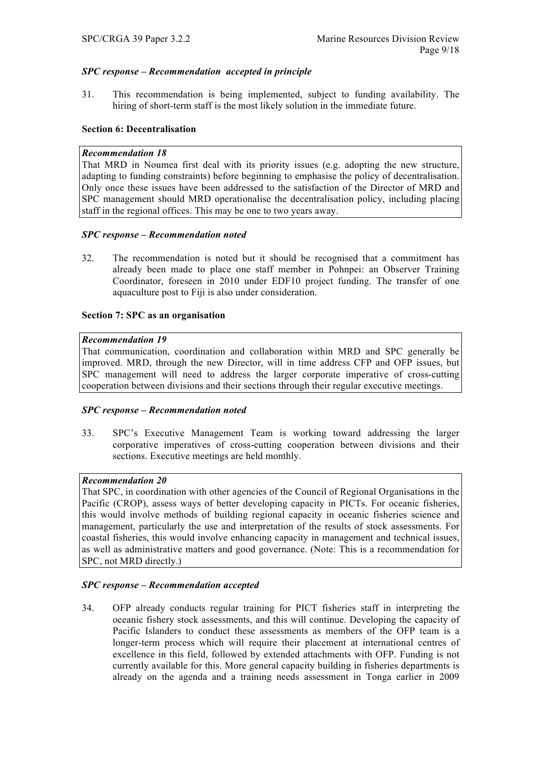# *SPC response – Recommendation accepted in principle*

31. This recommendation is being implemented, subject to funding availability. The hiring of short-term staff is the most likely solution in the immediate future.

# **Section 6: Decentralisation**

## *Recommendation 18*

That MRD in Noumea first deal with its priority issues (e.g. adopting the new structure, adapting to funding constraints) before beginning to emphasise the policy of decentralisation. Only once these issues have been addressed to the satisfaction of the Director of MRD and SPC management should MRD operationalise the decentralisation policy, including placing staff in the regional offices. This may be one to two years away.

### *SPC response – Recommendation noted*

32. The recommendation is noted but it should be recognised that a commitment has already been made to place one staff member in Pohnpei: an Observer Training Coordinator, foreseen in 2010 under EDF10 project funding. The transfer of one aquaculture post to Fiji is also under consideration.

### **Section 7: SPC as an organisation**

### *Recommendation 19*

That communication, coordination and collaboration within MRD and SPC generally be improved. MRD, through the new Director, will in time address CFP and OFP issues, but SPC management will need to address the larger corporate imperative of cross-cutting cooperation between divisions and their sections through their regular executive meetings.

## *SPC response – Recommendation noted*

33. SPC's Executive Management Team is working toward addressing the larger corporative imperatives of cross-cutting cooperation between divisions and their sections. Executive meetings are held monthly.

# *Recommendation 20*

That SPC, in coordination with other agencies of the Council of Regional Organisations in the Pacific (CROP), assess ways of better developing capacity in PICTs. For oceanic fisheries, this would involve methods of building regional capacity in oceanic fisheries science and management, particularly the use and interpretation of the results of stock assessments. For coastal fisheries, this would involve enhancing capacity in management and technical issues, as well as administrative matters and good governance. (Note: This is a recommendation for SPC, not MRD directly.)

## *SPC response – Recommendation accepted*

34. OFP already conducts regular training for PICT fisheries staff in interpreting the oceanic fishery stock assessments, and this will continue. Developing the capacity of Pacific Islanders to conduct these assessments as members of the OFP team is a longer-term process which will require their placement at international centres of excellence in this field, followed by extended attachments with OFP. Funding is not currently available for this. More general capacity building in fisheries departments is already on the agenda and a training needs assessment in Tonga earlier in 2009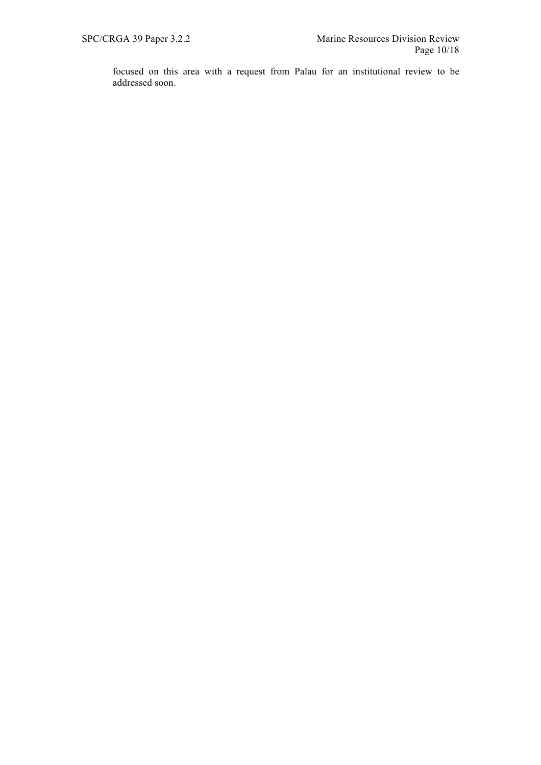focused on this area with a request from Palau for an institutional review to be addressed soon.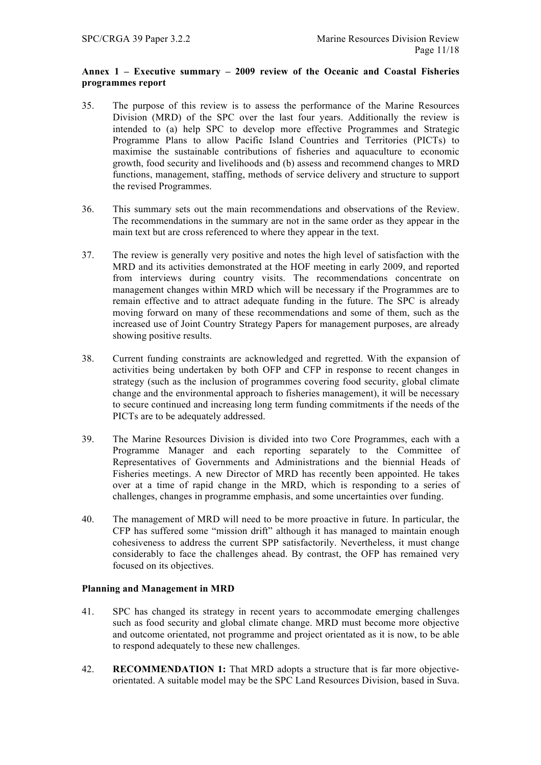## **Annex 1 – Executive summary – 2009 review of the Oceanic and Coastal Fisheries programmes report**

- 35. The purpose of this review is to assess the performance of the Marine Resources Division (MRD) of the SPC over the last four years. Additionally the review is intended to (a) help SPC to develop more effective Programmes and Strategic Programme Plans to allow Pacific Island Countries and Territories (PICTs) to maximise the sustainable contributions of fisheries and aquaculture to economic growth, food security and livelihoods and (b) assess and recommend changes to MRD functions, management, staffing, methods of service delivery and structure to support the revised Programmes.
- 36. This summary sets out the main recommendations and observations of the Review. The recommendations in the summary are not in the same order as they appear in the main text but are cross referenced to where they appear in the text.
- 37. The review is generally very positive and notes the high level of satisfaction with the MRD and its activities demonstrated at the HOF meeting in early 2009, and reported from interviews during country visits. The recommendations concentrate on management changes within MRD which will be necessary if the Programmes are to remain effective and to attract adequate funding in the future. The SPC is already moving forward on many of these recommendations and some of them, such as the increased use of Joint Country Strategy Papers for management purposes, are already showing positive results.
- 38. Current funding constraints are acknowledged and regretted. With the expansion of activities being undertaken by both OFP and CFP in response to recent changes in strategy (such as the inclusion of programmes covering food security, global climate change and the environmental approach to fisheries management), it will be necessary to secure continued and increasing long term funding commitments if the needs of the PICTs are to be adequately addressed.
- 39. The Marine Resources Division is divided into two Core Programmes, each with a Programme Manager and each reporting separately to the Committee of Representatives of Governments and Administrations and the biennial Heads of Fisheries meetings. A new Director of MRD has recently been appointed. He takes over at a time of rapid change in the MRD, which is responding to a series of challenges, changes in programme emphasis, and some uncertainties over funding.
- 40. The management of MRD will need to be more proactive in future. In particular, the CFP has suffered some "mission drift" although it has managed to maintain enough cohesiveness to address the current SPP satisfactorily. Nevertheless, it must change considerably to face the challenges ahead. By contrast, the OFP has remained very focused on its objectives.

## **Planning and Management in MRD**

- 41. SPC has changed its strategy in recent years to accommodate emerging challenges such as food security and global climate change. MRD must become more objective and outcome orientated, not programme and project orientated as it is now, to be able to respond adequately to these new challenges.
- 42. **RECOMMENDATION 1:** That MRD adopts a structure that is far more objectiveorientated. A suitable model may be the SPC Land Resources Division, based in Suva.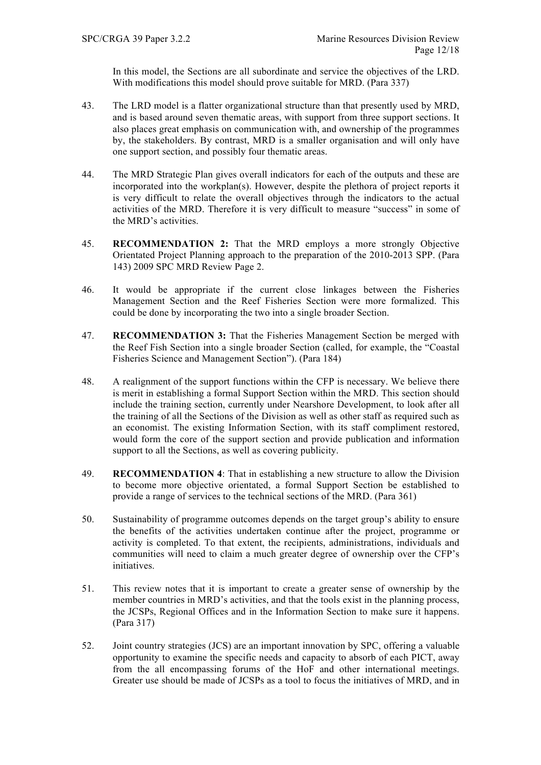In this model, the Sections are all subordinate and service the objectives of the LRD. With modifications this model should prove suitable for MRD. (Para 337)

- 43. The LRD model is a flatter organizational structure than that presently used by MRD, and is based around seven thematic areas, with support from three support sections. It also places great emphasis on communication with, and ownership of the programmes by, the stakeholders. By contrast, MRD is a smaller organisation and will only have one support section, and possibly four thematic areas.
- 44. The MRD Strategic Plan gives overall indicators for each of the outputs and these are incorporated into the workplan(s). However, despite the plethora of project reports it is very difficult to relate the overall objectives through the indicators to the actual activities of the MRD. Therefore it is very difficult to measure "success" in some of the MRD's activities.
- 45. **RECOMMENDATION 2:** That the MRD employs a more strongly Objective Orientated Project Planning approach to the preparation of the 2010-2013 SPP. (Para 143) 2009 SPC MRD Review Page 2.
- 46. It would be appropriate if the current close linkages between the Fisheries Management Section and the Reef Fisheries Section were more formalized. This could be done by incorporating the two into a single broader Section.
- 47. **RECOMMENDATION 3:** That the Fisheries Management Section be merged with the Reef Fish Section into a single broader Section (called, for example, the "Coastal Fisheries Science and Management Section"). (Para 184)
- 48. A realignment of the support functions within the CFP is necessary. We believe there is merit in establishing a formal Support Section within the MRD. This section should include the training section, currently under Nearshore Development, to look after all the training of all the Sections of the Division as well as other staff as required such as an economist. The existing Information Section, with its staff compliment restored, would form the core of the support section and provide publication and information support to all the Sections, as well as covering publicity.
- 49. **RECOMMENDATION 4**: That in establishing a new structure to allow the Division to become more objective orientated, a formal Support Section be established to provide a range of services to the technical sections of the MRD. (Para 361)
- 50. Sustainability of programme outcomes depends on the target group's ability to ensure the benefits of the activities undertaken continue after the project, programme or activity is completed. To that extent, the recipients, administrations, individuals and communities will need to claim a much greater degree of ownership over the CFP's initiatives.
- 51. This review notes that it is important to create a greater sense of ownership by the member countries in MRD's activities, and that the tools exist in the planning process, the JCSPs, Regional Offices and in the Information Section to make sure it happens. (Para 317)
- 52. Joint country strategies (JCS) are an important innovation by SPC, offering a valuable opportunity to examine the specific needs and capacity to absorb of each PICT, away from the all encompassing forums of the HoF and other international meetings. Greater use should be made of JCSPs as a tool to focus the initiatives of MRD, and in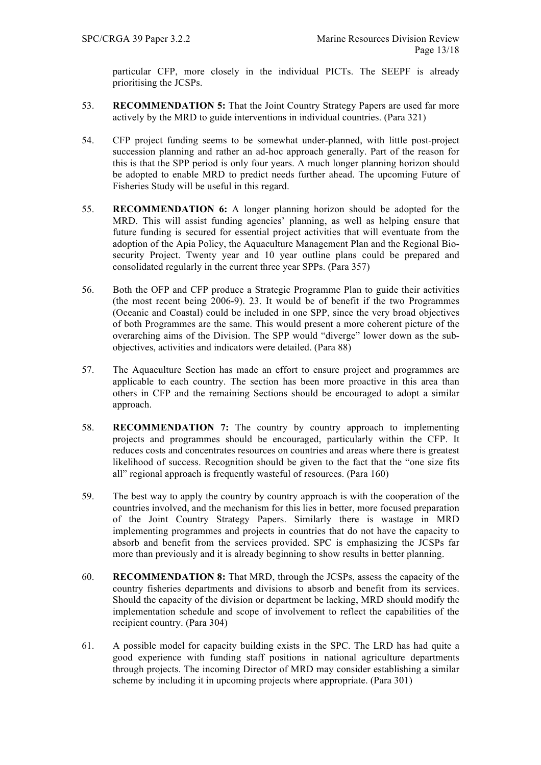particular CFP, more closely in the individual PICTs. The SEEPF is already prioritising the JCSPs.

- 53. **RECOMMENDATION 5:** That the Joint Country Strategy Papers are used far more actively by the MRD to guide interventions in individual countries. (Para 321)
- 54. CFP project funding seems to be somewhat under-planned, with little post-project succession planning and rather an ad-hoc approach generally. Part of the reason for this is that the SPP period is only four years. A much longer planning horizon should be adopted to enable MRD to predict needs further ahead. The upcoming Future of Fisheries Study will be useful in this regard.
- 55. **RECOMMENDATION 6:** A longer planning horizon should be adopted for the MRD. This will assist funding agencies' planning, as well as helping ensure that future funding is secured for essential project activities that will eventuate from the adoption of the Apia Policy, the Aquaculture Management Plan and the Regional Biosecurity Project. Twenty year and 10 year outline plans could be prepared and consolidated regularly in the current three year SPPs. (Para 357)
- 56. Both the OFP and CFP produce a Strategic Programme Plan to guide their activities (the most recent being 2006-9). 23. It would be of benefit if the two Programmes (Oceanic and Coastal) could be included in one SPP, since the very broad objectives of both Programmes are the same. This would present a more coherent picture of the overarching aims of the Division. The SPP would "diverge" lower down as the subobjectives, activities and indicators were detailed. (Para 88)
- 57. The Aquaculture Section has made an effort to ensure project and programmes are applicable to each country. The section has been more proactive in this area than others in CFP and the remaining Sections should be encouraged to adopt a similar approach.
- 58. **RECOMMENDATION 7:** The country by country approach to implementing projects and programmes should be encouraged, particularly within the CFP. It reduces costs and concentrates resources on countries and areas where there is greatest likelihood of success. Recognition should be given to the fact that the "one size fits all" regional approach is frequently wasteful of resources. (Para 160)
- 59. The best way to apply the country by country approach is with the cooperation of the countries involved, and the mechanism for this lies in better, more focused preparation of the Joint Country Strategy Papers. Similarly there is wastage in MRD implementing programmes and projects in countries that do not have the capacity to absorb and benefit from the services provided. SPC is emphasizing the JCSPs far more than previously and it is already beginning to show results in better planning.
- 60. **RECOMMENDATION 8:** That MRD, through the JCSPs, assess the capacity of the country fisheries departments and divisions to absorb and benefit from its services. Should the capacity of the division or department be lacking, MRD should modify the implementation schedule and scope of involvement to reflect the capabilities of the recipient country. (Para 304)
- 61. A possible model for capacity building exists in the SPC. The LRD has had quite a good experience with funding staff positions in national agriculture departments through projects. The incoming Director of MRD may consider establishing a similar scheme by including it in upcoming projects where appropriate. (Para 301)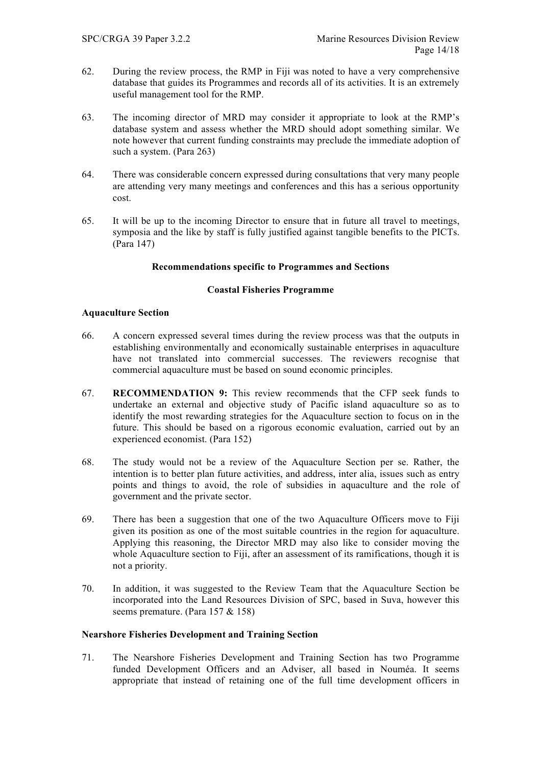- 62. During the review process, the RMP in Fiji was noted to have a very comprehensive database that guides its Programmes and records all of its activities. It is an extremely useful management tool for the RMP.
- 63. The incoming director of MRD may consider it appropriate to look at the RMP's database system and assess whether the MRD should adopt something similar. We note however that current funding constraints may preclude the immediate adoption of such a system. (Para 263)
- 64. There was considerable concern expressed during consultations that very many people are attending very many meetings and conferences and this has a serious opportunity cost.
- 65. It will be up to the incoming Director to ensure that in future all travel to meetings, symposia and the like by staff is fully justified against tangible benefits to the PICTs. (Para 147)

## **Recommendations specific to Programmes and Sections**

### **Coastal Fisheries Programme**

### **Aquaculture Section**

- 66. A concern expressed several times during the review process was that the outputs in establishing environmentally and economically sustainable enterprises in aquaculture have not translated into commercial successes. The reviewers recognise that commercial aquaculture must be based on sound economic principles.
- 67. **RECOMMENDATION 9:** This review recommends that the CFP seek funds to undertake an external and objective study of Pacific island aquaculture so as to identify the most rewarding strategies for the Aquaculture section to focus on in the future. This should be based on a rigorous economic evaluation, carried out by an experienced economist. (Para 152)
- 68. The study would not be a review of the Aquaculture Section per se. Rather, the intention is to better plan future activities, and address, inter alia, issues such as entry points and things to avoid, the role of subsidies in aquaculture and the role of government and the private sector.
- 69. There has been a suggestion that one of the two Aquaculture Officers move to Fiji given its position as one of the most suitable countries in the region for aquaculture. Applying this reasoning, the Director MRD may also like to consider moving the whole Aquaculture section to Fiji, after an assessment of its ramifications, though it is not a priority.
- 70. In addition, it was suggested to the Review Team that the Aquaculture Section be incorporated into the Land Resources Division of SPC, based in Suva, however this seems premature. (Para 157 & 158)

## **Nearshore Fisheries Development and Training Section**

71. The Nearshore Fisheries Development and Training Section has two Programme funded Development Officers and an Adviser, all based in Nouméa. It seems appropriate that instead of retaining one of the full time development officers in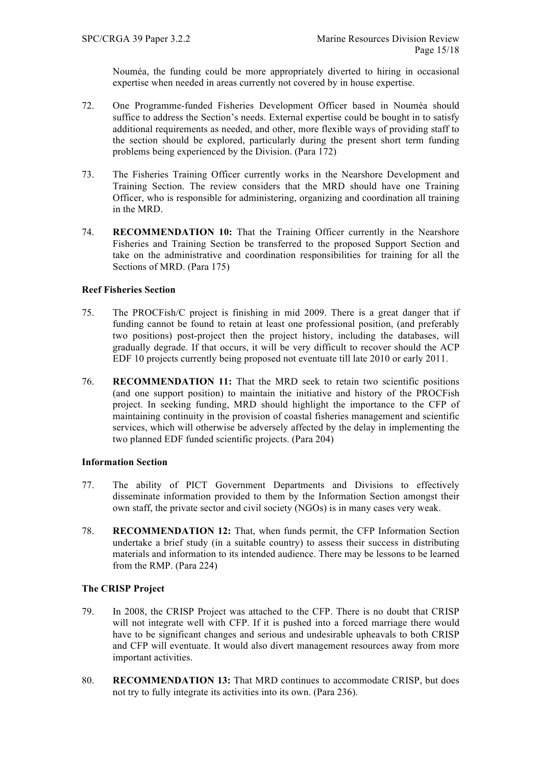Nouméa, the funding could be more appropriately diverted to hiring in occasional expertise when needed in areas currently not covered by in house expertise.

- 72. One Programme-funded Fisheries Development Officer based in Nouméa should suffice to address the Section's needs. External expertise could be bought in to satisfy additional requirements as needed, and other, more flexible ways of providing staff to the section should be explored, particularly during the present short term funding problems being experienced by the Division. (Para 172)
- 73. The Fisheries Training Officer currently works in the Nearshore Development and Training Section. The review considers that the MRD should have one Training Officer, who is responsible for administering, organizing and coordination all training in the MRD.
- 74. **RECOMMENDATION 10:** That the Training Officer currently in the Nearshore Fisheries and Training Section be transferred to the proposed Support Section and take on the administrative and coordination responsibilities for training for all the Sections of MRD. (Para 175)

# **Reef Fisheries Section**

- 75. The PROCFish/C project is finishing in mid 2009. There is a great danger that if funding cannot be found to retain at least one professional position, (and preferably two positions) post-project then the project history, including the databases, will gradually degrade. If that occurs, it will be very difficult to recover should the ACP EDF 10 projects currently being proposed not eventuate till late 2010 or early 2011.
- 76. **RECOMMENDATION 11:** That the MRD seek to retain two scientific positions (and one support position) to maintain the initiative and history of the PROCFish project. In seeking funding, MRD should highlight the importance to the CFP of maintaining continuity in the provision of coastal fisheries management and scientific services, which will otherwise be adversely affected by the delay in implementing the two planned EDF funded scientific projects. (Para 204)

## **Information Section**

- 77. The ability of PICT Government Departments and Divisions to effectively disseminate information provided to them by the Information Section amongst their own staff, the private sector and civil society (NGOs) is in many cases very weak.
- 78. **RECOMMENDATION 12:** That, when funds permit, the CFP Information Section undertake a brief study (in a suitable country) to assess their success in distributing materials and information to its intended audience. There may be lessons to be learned from the RMP. (Para 224)

# **The CRISP Project**

- 79. In 2008, the CRISP Project was attached to the CFP. There is no doubt that CRISP will not integrate well with CFP. If it is pushed into a forced marriage there would have to be significant changes and serious and undesirable upheavals to both CRISP and CFP will eventuate. It would also divert management resources away from more important activities.
- 80. **RECOMMENDATION 13:** That MRD continues to accommodate CRISP, but does not try to fully integrate its activities into its own. (Para 236).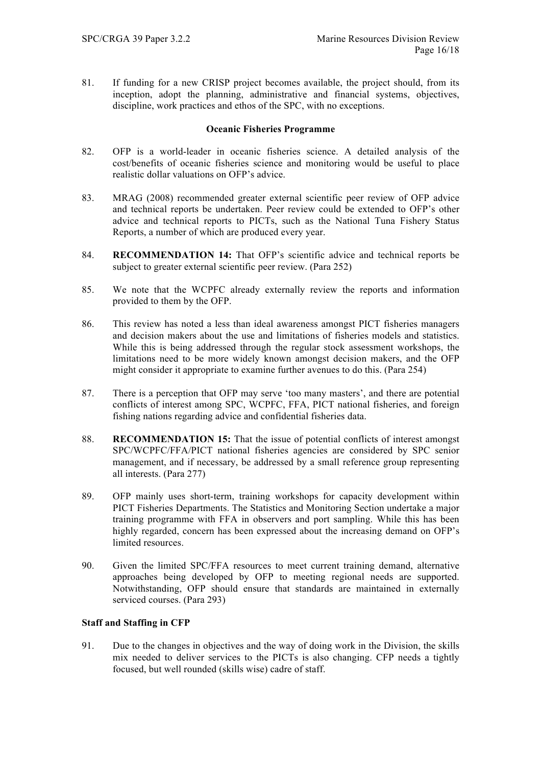81. If funding for a new CRISP project becomes available, the project should, from its inception, adopt the planning, administrative and financial systems, objectives, discipline, work practices and ethos of the SPC, with no exceptions.

## **Oceanic Fisheries Programme**

- 82. OFP is a world-leader in oceanic fisheries science. A detailed analysis of the cost/benefits of oceanic fisheries science and monitoring would be useful to place realistic dollar valuations on OFP's advice.
- 83. MRAG (2008) recommended greater external scientific peer review of OFP advice and technical reports be undertaken. Peer review could be extended to OFP's other advice and technical reports to PICTs, such as the National Tuna Fishery Status Reports, a number of which are produced every year.
- 84. **RECOMMENDATION 14:** That OFP's scientific advice and technical reports be subject to greater external scientific peer review. (Para 252)
- 85. We note that the WCPFC already externally review the reports and information provided to them by the OFP.
- 86. This review has noted a less than ideal awareness amongst PICT fisheries managers and decision makers about the use and limitations of fisheries models and statistics. While this is being addressed through the regular stock assessment workshops, the limitations need to be more widely known amongst decision makers, and the OFP might consider it appropriate to examine further avenues to do this. (Para 254)
- 87. There is a perception that OFP may serve 'too many masters', and there are potential conflicts of interest among SPC, WCPFC, FFA, PICT national fisheries, and foreign fishing nations regarding advice and confidential fisheries data.
- 88. **RECOMMENDATION 15:** That the issue of potential conflicts of interest amongst SPC/WCPFC/FFA/PICT national fisheries agencies are considered by SPC senior management, and if necessary, be addressed by a small reference group representing all interests. (Para 277)
- 89. OFP mainly uses short-term, training workshops for capacity development within PICT Fisheries Departments. The Statistics and Monitoring Section undertake a major training programme with FFA in observers and port sampling. While this has been highly regarded, concern has been expressed about the increasing demand on OFP's limited resources.
- 90. Given the limited SPC/FFA resources to meet current training demand, alternative approaches being developed by OFP to meeting regional needs are supported. Notwithstanding, OFP should ensure that standards are maintained in externally serviced courses. (Para 293)

## **Staff and Staffing in CFP**

91. Due to the changes in objectives and the way of doing work in the Division, the skills mix needed to deliver services to the PICTs is also changing. CFP needs a tightly focused, but well rounded (skills wise) cadre of staff.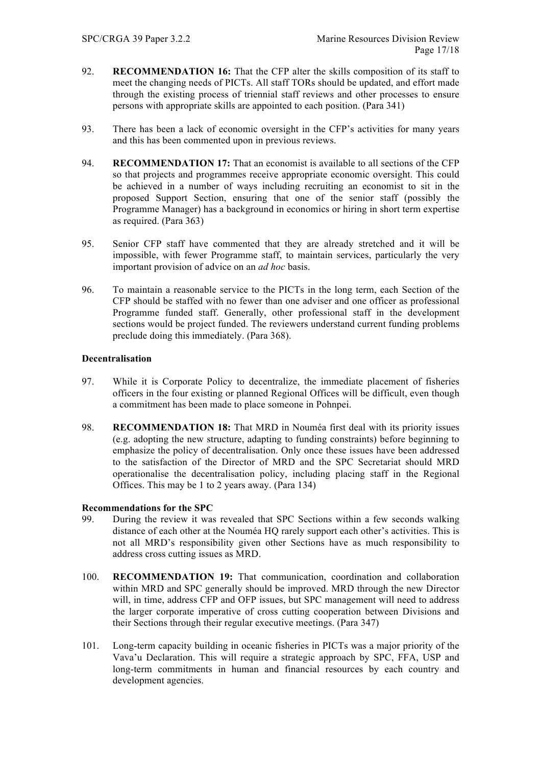- 92. **RECOMMENDATION 16:** That the CFP alter the skills composition of its staff to meet the changing needs of PICTs. All staff TORs should be updated, and effort made through the existing process of triennial staff reviews and other processes to ensure persons with appropriate skills are appointed to each position. (Para 341)
- 93. There has been a lack of economic oversight in the CFP's activities for many years and this has been commented upon in previous reviews.
- 94. **RECOMMENDATION 17:** That an economist is available to all sections of the CFP so that projects and programmes receive appropriate economic oversight. This could be achieved in a number of ways including recruiting an economist to sit in the proposed Support Section, ensuring that one of the senior staff (possibly the Programme Manager) has a background in economics or hiring in short term expertise as required. (Para 363)
- 95. Senior CFP staff have commented that they are already stretched and it will be impossible, with fewer Programme staff, to maintain services, particularly the very important provision of advice on an *ad hoc* basis.
- 96. To maintain a reasonable service to the PICTs in the long term, each Section of the CFP should be staffed with no fewer than one adviser and one officer as professional Programme funded staff. Generally, other professional staff in the development sections would be project funded. The reviewers understand current funding problems preclude doing this immediately. (Para 368).

## **Decentralisation**

- 97. While it is Corporate Policy to decentralize, the immediate placement of fisheries officers in the four existing or planned Regional Offices will be difficult, even though a commitment has been made to place someone in Pohnpei.
- 98. **RECOMMENDATION 18:** That MRD in Nouméa first deal with its priority issues (e.g. adopting the new structure, adapting to funding constraints) before beginning to emphasize the policy of decentralisation. Only once these issues have been addressed to the satisfaction of the Director of MRD and the SPC Secretariat should MRD operationalise the decentralisation policy, including placing staff in the Regional Offices. This may be 1 to 2 years away. (Para 134)

## **Recommendations for the SPC**

- 99. During the review it was revealed that SPC Sections within a few seconds walking distance of each other at the Nouméa HQ rarely support each other's activities. This is not all MRD's responsibility given other Sections have as much responsibility to address cross cutting issues as MRD.
- 100. **RECOMMENDATION 19:** That communication, coordination and collaboration within MRD and SPC generally should be improved. MRD through the new Director will, in time, address CFP and OFP issues, but SPC management will need to address the larger corporate imperative of cross cutting cooperation between Divisions and their Sections through their regular executive meetings. (Para 347)
- 101. Long-term capacity building in oceanic fisheries in PICTs was a major priority of the Vava'u Declaration. This will require a strategic approach by SPC, FFA, USP and long-term commitments in human and financial resources by each country and development agencies.